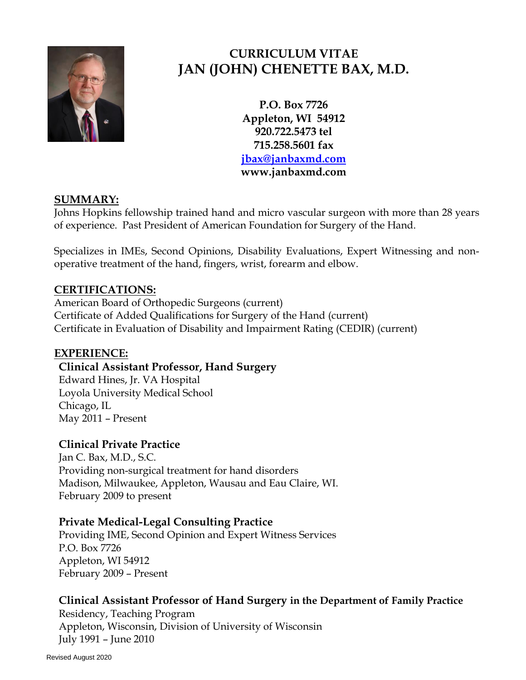

# **CURRICULUM VITAE JAN (JOHN) CHENETTE BAX, M.D.**

**P.O. Box 7726 Appleton, WI 54912 920.722.5473 tel 715.258.5601 fax [jbax@janbaxmd.com](mailto:jbax@janbaxmd.com) www.janbaxmd.com**

# **SUMMARY:**

Johns Hopkins fellowship trained hand and micro vascular surgeon with more than 28 years of experience. Past President of American Foundation for Surgery of the Hand.

Specializes in IMEs, Second Opinions, Disability Evaluations, Expert Witnessing and nonoperative treatment of the hand, fingers, wrist, forearm and elbow.

# **CERTIFICATIONS:**

American Board of Orthopedic Surgeons (current) Certificate of Added Qualifications for Surgery of the Hand (current) Certificate in Evaluation of Disability and Impairment Rating (CEDIR) (current)

# **EXPERIENCE:**

# **Clinical Assistant Professor, Hand Surgery**

Edward Hines, Jr. VA Hospital Loyola University Medical School Chicago, IL May 2011 – Present

# **Clinical Private Practice**

Jan C. Bax, M.D., S.C. Providing non-surgical treatment for hand disorders Madison, Milwaukee, Appleton, Wausau and Eau Claire, WI. February 2009 to present

# **Private Medical-Legal Consulting Practice**

Providing IME, Second Opinion and Expert Witness Services P.O. Box 7726 Appleton, WI 54912 February 2009 – Present

# **Clinical Assistant Professor of Hand Surgery in the Department of Family Practice**

Residency, Teaching Program Appleton, Wisconsin, Division of University of Wisconsin July 1991 – June 2010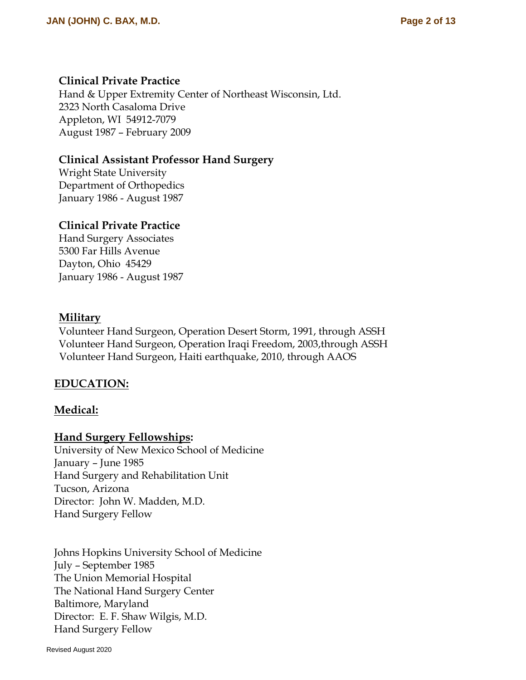### **Clinical Private Practice**

Hand & Upper Extremity Center of Northeast Wisconsin, Ltd. 2323 North Casaloma Drive Appleton, WI 54912-7079 August 1987 – February 2009

### **Clinical Assistant Professor Hand Surgery**

Wright State University Department of Orthopedics January 1986 - August 1987

### **Clinical Private Practice**

Hand Surgery Associates 5300 Far Hills Avenue Dayton, Ohio 45429 January 1986 - August 1987

### **Military**

Volunteer Hand Surgeon, Operation Desert Storm, 1991, through ASSH Volunteer Hand Surgeon, Operation Iraqi Freedom, 2003,through ASSH Volunteer Hand Surgeon, Haiti earthquake, 2010, through AAOS

### **EDUCATION:**

### **Medical:**

#### **Hand Surgery Fellowships:**

University of New Mexico School of Medicine January – June 1985 Hand Surgery and Rehabilitation Unit Tucson, Arizona Director: John W. Madden, M.D. Hand Surgery Fellow

Johns Hopkins University School of Medicine July – September 1985 The Union Memorial Hospital The National Hand Surgery Center Baltimore, Maryland Director: E. F. Shaw Wilgis, M.D. Hand Surgery Fellow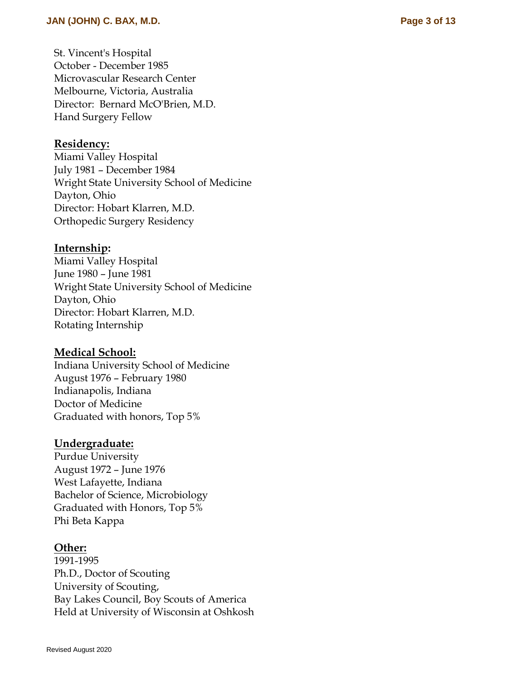#### **Residency:**

Miami Valley Hospital July 1981 – December 1984 Wright State University School of Medicine Dayton, Ohio Director: Hobart Klarren, M . D . Orthopedic Surgery Residency

#### **Internship:**

Miami Valley Hospital June 1980 – June 1981 Wright State University School of Medicine Dayton, Ohio Director: Hobart Klarren, M . D . Rotating Internship

#### **Medical School:**

Indiana University School of Medicine August 1976 – February 1980 Indianapolis, Indiana Doctor of Medicine Graduated with honors, Top 5%

#### **Undergraduate:**

Purdue University August 1972 – June 1976 West Lafayette, Indiana Bachelor of Science, Microbiology Graduated with Honors, Top 5% Phi Beta Kappa

#### **Other:**

1991 -1995 Ph.D., Doctor of Scouting University of Scouting, Bay Lakes Council, Boy Scouts of America Held at University of Wisconsin at Oshkosh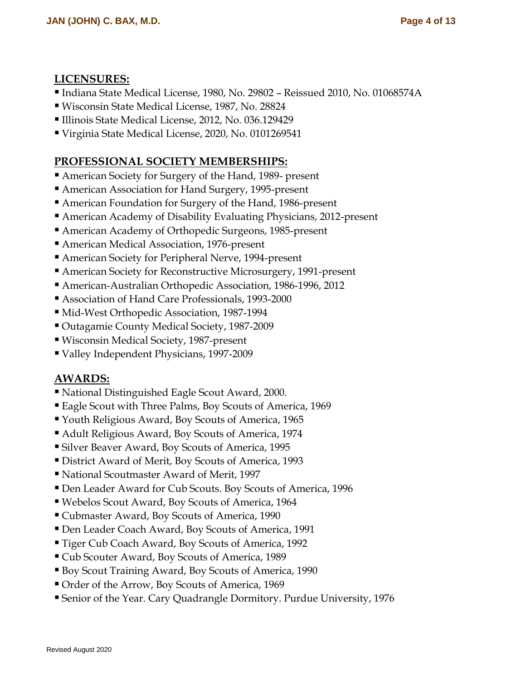### **LICENSURES:**

- Indiana State Medical License, 1980, No. 29802 Reissued 2010, No. 01068574A
- Wisconsin State Medical License, 1987, No. 28824
- Illinois State Medical License, 2012, No. 036.129429
- Virginia State Medical License, 2020, No. 0101269541

# **PROFESSIONAL SOCIETY MEMBERSHIPS:**

- American Society for Surgery of the Hand, 1989- present
- American Association for Hand Surgery, 1995-present
- American Foundation for Surgery of the Hand, 1986-present
- American Academy of Disability Evaluating Physicians, 2012-present
- American Academy of Orthopedic Surgeons, 1985-present
- American Medical Association, 1976-present
- American Society for Peripheral Nerve, 1994-present
- American Society for Reconstructive Microsurgery, 1991-present
- American-Australian Orthopedic Association, 1986-1996, 2012
- Association of Hand Care Professionals, 1993-2000
- Mid-West Orthopedic Association, 1987-1994
- Outagamie County Medical Society, 1987-2009
- Wisconsin Medical Society, 1987-present
- Valley Independent Physicians, 1997-2009

# **AWARDS:**

- National Distinguished Eagle Scout Award, 2000.
- Eagle Scout with Three Palms, Boy Scouts of America, 1969
- Youth Religious Award, Boy Scouts of America, 1965
- Adult Religious Award, Boy Scouts of America, 1974
- Silver Beaver Award, Boy Scouts of America, 1995
- District Award of Merit, Boy Scouts of America, 1993
- National Scoutmaster Award of Merit, 1997
- Den Leader Award for Cub Scouts. Boy Scouts of America, 1996
- Webelos Scout Award, Boy Scouts of America, 1964
- Cubmaster Award, Boy Scouts of America, 1990
- Den Leader Coach Award, Boy Scouts of America, 1991
- Tiger Cub Coach Award, Boy Scouts of America, 1992
- Cub Scouter Award, Boy Scouts of America, 1989
- Boy Scout Training Award, Boy Scouts of America, 1990
- Order of the Arrow, Boy Scouts of America, 1969
- Senior of the Year. Cary Quadrangle Dormitory. Purdue University, 1976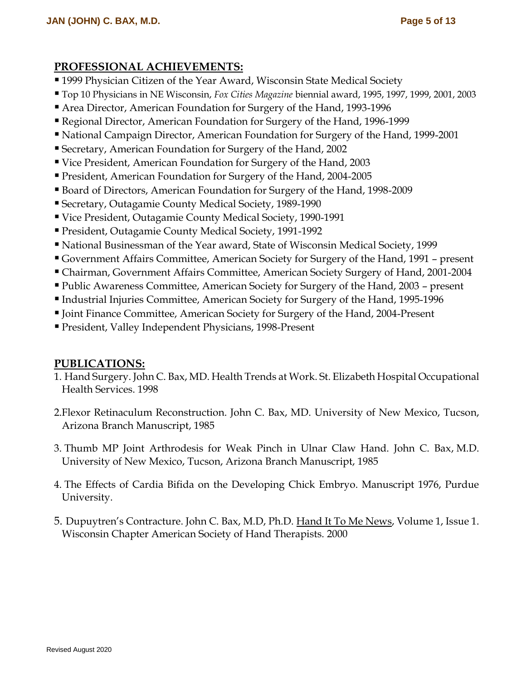### **PROFESSIONAL ACHIEVEMENTS:**

- 1999 Physician Citizen of the Year Award, Wisconsin State Medical Society
- Top 10 Physicians in NE Wisconsin, *Fox Cities Magazine* biennial award, 1995, 1997, 1999, 2001, 2003
- Area Director, American Foundation for Surgery of the Hand, 1993-1996
- Regional Director, American Foundation for Surgery of the Hand, 1996-1999
- National Campaign Director, American Foundation for Surgery of the Hand, 1999-2001
- Secretary, American Foundation for Surgery of the Hand, 2002
- Vice President, American Foundation for Surgery of the Hand, 2003
- President, American Foundation for Surgery of the Hand, 2004-2005
- Board of Directors, American Foundation for Surgery of the Hand, 1998-2009
- Secretary, Outagamie County Medical Society, 1989-1990
- Vice President, Outagamie County Medical Society, 1990-1991
- President, Outagamie County Medical Society, 1991-1992
- National Businessman of the Year award, State of Wisconsin Medical Society, 1999
- Government Affairs Committee, American Society for Surgery of the Hand, 1991 present
- Chairman, Government Affairs Committee, American Society Surgery of Hand, 2001-2004
- Public Awareness Committee, American Society for Surgery of the Hand, 2003 present
- Industrial Injuries Committee, American Society for Surgery of the Hand, 1995-1996
- Joint Finance Committee, American Society for Surgery of the Hand, 2004-Present
- President, Valley Independent Physicians, 1998-Present

### **PUBLICATIONS:**

- 1. Hand Surgery. John C. Bax, MD. Health Trends at Work. St. Elizabeth Hospital Occupational Health Services. 1998
- 2.Flexor Retinaculum Reconstruction. John C. Bax, MD. University of New Mexico, Tucson, Arizona Branch Manuscript, 1985
- 3. Thumb MP Joint Arthrodesis for Weak Pinch in Ulnar Claw Hand. John C. Bax, M.D. University of New Mexico, Tucson, Arizona Branch Manuscript, 1985
- 4. The Effects of Cardia Bifida on the Developing Chick Embryo. Manuscript 1976, Purdue University.
- 5. Dupuytren's Contracture. John C. Bax, M.D, Ph.D. Hand It To Me News, Volume 1, Issue 1. Wisconsin Chapter American Society of Hand Therapists. 2000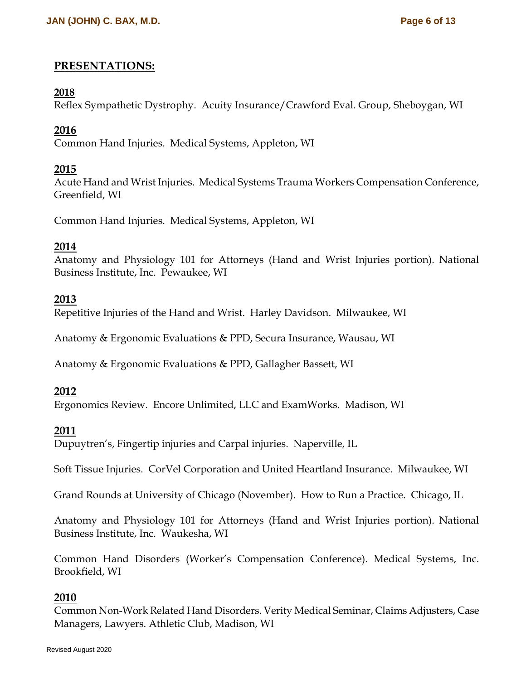### **PRESENTATIONS:**

#### **2018**

Reflex Sympathetic Dystrophy. Acuity Insurance/Crawford Eval. Group, Sheboygan, WI

### **2016**

Common Hand Injuries. Medical Systems, Appleton, WI

### **2015**

Acute Hand and Wrist Injuries. Medical Systems Trauma Workers Compensation Conference, Greenfield, WI

Common Hand Injuries. Medical Systems, Appleton, WI

### **2014**

[Anatomy and Physiology 101 for Attorneys](http://www.nbi-sems.com/SemTeleDetails.aspx/R-57773ER%7C?ctname=SPKEM) (Hand and Wrist Injuries portion). National Business Institute, Inc. Pewaukee, WI

### **2013**

Repetitive Injuries of the Hand and Wrist. Harley Davidson. Milwaukee, WI

Anatomy & Ergonomic Evaluations & PPD, Secura Insurance, Wausau, WI

Anatomy & Ergonomic Evaluations & PPD, Gallagher Bassett, WI

### **2012**

Ergonomics Review. Encore Unlimited, LLC and ExamWorks. Madison, WI

### **2011**

Dupuytren's, Fingertip injuries and Carpal injuries. Naperville, IL

Soft Tissue Injuries. CorVel Corporation and United Heartland Insurance. Milwaukee, WI

Grand Rounds at University of Chicago (November). How to Run a Practice. Chicago, IL

[Anatomy and Physiology 101 for Attorneys](http://www.nbi-sems.com/SemTeleDetails.aspx/R-57773ER%7C?ctname=SPKEM) (Hand and Wrist Injuries portion). National Business Institute, Inc. Waukesha, WI

Common Hand Disorders (Worker's Compensation Conference). Medical Systems, Inc. Brookfield, WI

### **2010**

Common Non-Work Related Hand Disorders. Verity Medical Seminar, Claims Adjusters, Case Managers, Lawyers. Athletic Club, Madison, WI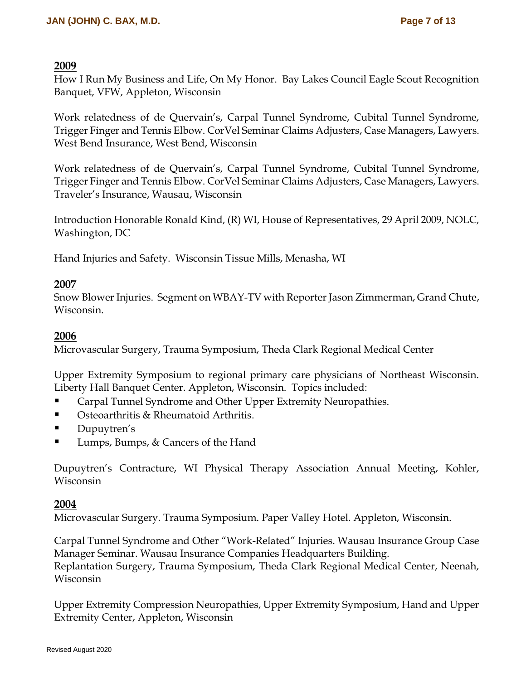#### **2009**

How I Run My Business and Life, On My Honor. Bay Lakes Council Eagle Scout Recognition Banquet, VFW, Appleton, Wisconsin

Work relatedness of de Quervain's, Carpal Tunnel Syndrome, Cubital Tunnel Syndrome, Trigger Finger and Tennis Elbow. CorVel Seminar Claims Adjusters, Case Managers, Lawyers. West Bend Insurance, West Bend, Wisconsin

Work relatedness of de Quervain's, Carpal Tunnel Syndrome, Cubital Tunnel Syndrome, Trigger Finger and Tennis Elbow. CorVel Seminar Claims Adjusters, Case Managers, Lawyers. Traveler's Insurance, Wausau, Wisconsin

Introduction Honorable Ronald Kind, (R) WI, House of Representatives, 29 April 2009, NOLC, Washington, DC

Hand Injuries and Safety. Wisconsin Tissue Mills, Menasha, WI

#### **2007**

Snow Blower Injuries. Segment on WBAY-TV with Reporter Jason Zimmerman, Grand Chute, Wisconsin.

### **2006**

Microvascular Surgery, Trauma Symposium, Theda Clark Regional Medical Center

Upper Extremity Symposium to regional primary care physicians of Northeast Wisconsin. Liberty Hall Banquet Center. Appleton, Wisconsin. Topics included:

- Carpal Tunnel Syndrome and Other Upper Extremity Neuropathies.
- Osteoarthritis & Rheumatoid Arthritis.
- **Dupuytren's**
- Lumps, Bumps, & Cancers of the Hand

Dupuytren's Contracture, WI Physical Therapy Association Annual Meeting, Kohler, Wisconsin

#### **2004**

Microvascular Surgery. Trauma Symposium. Paper Valley Hotel. Appleton, Wisconsin.

Carpal Tunnel Syndrome and Other "Work-Related" Injuries. Wausau Insurance Group Case Manager Seminar. Wausau Insurance Companies Headquarters Building. Replantation Surgery, Trauma Symposium, Theda Clark Regional Medical Center, Neenah, Wisconsin

Upper Extremity Compression Neuropathies, Upper Extremity Symposium, Hand and Upper Extremity Center, Appleton, Wisconsin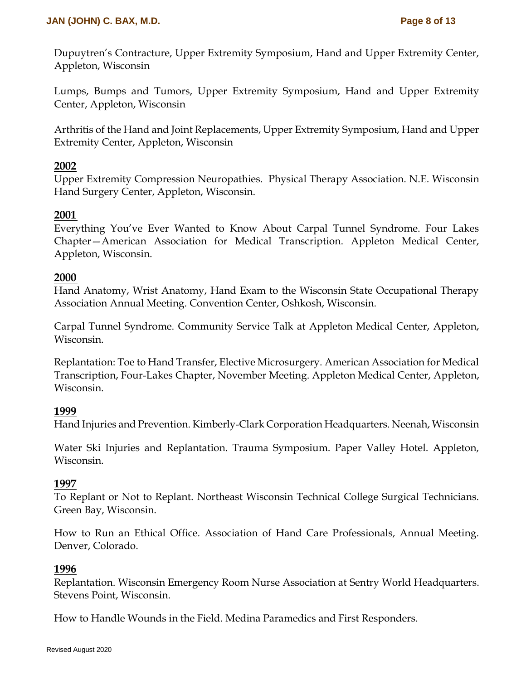Dupuytren's Contracture, Upper Extremity Symposium, Hand and Upper Extremity Center, Appleton, Wisconsin

Lumps, Bumps and Tumors, Upper Extremity Symposium, Hand and Upper Extremity Center, Appleton, Wisconsin

Arthritis of the Hand and Joint Replacements, Upper Extremity Symposium, Hand and Upper Extremity Center, Appleton, Wisconsin

#### **2002**

Upper Extremity Compression Neuropathies. Physical Therapy Association. N.E. Wisconsin Hand Surgery Center, Appleton, Wisconsin.

### **2001**

Everything You've Ever Wanted to Know About Carpal Tunnel Syndrome. Four Lakes Chapter—American Association for Medical Transcription. Appleton Medical Center, Appleton, Wisconsin.

### **2000**

Hand Anatomy, Wrist Anatomy, Hand Exam to the Wisconsin State Occupational Therapy Association Annual Meeting. Convention Center, Oshkosh, Wisconsin.

Carpal Tunnel Syndrome. Community Service Talk at Appleton Medical Center, Appleton, Wisconsin.

Replantation: Toe to Hand Transfer, Elective Microsurgery. American Association for Medical Transcription, Four-Lakes Chapter, November Meeting. Appleton Medical Center, Appleton, Wisconsin.

#### **1999**

Hand Injuries and Prevention. Kimberly-Clark Corporation Headquarters. Neenah, Wisconsin

Water Ski Injuries and Replantation. Trauma Symposium. Paper Valley Hotel. Appleton, Wisconsin.

#### **1997**

To Replant or Not to Replant. Northeast Wisconsin Technical College Surgical Technicians. Green Bay, Wisconsin.

How to Run an Ethical Office. Association of Hand Care Professionals, Annual Meeting. Denver, Colorado.

#### **1996**

Replantation. Wisconsin Emergency Room Nurse Association at Sentry World Headquarters. Stevens Point, Wisconsin.

How to Handle Wounds in the Field. Medina Paramedics and First Responders.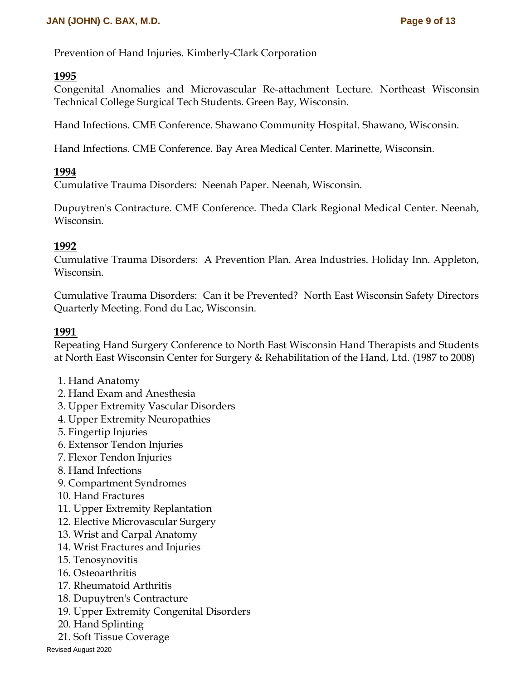Prevention of Hand Injuries. Kimberly-Clark Corporation

#### **1995**

Congenital Anomalies and Microvascular Re-attachment Lecture. Northeast Wisconsin Technical College Surgical Tech Students. Green Bay, Wisconsin.

Hand Infections. CME Conference. Shawano Community Hospital. Shawano, Wisconsin.

Hand Infections. CME Conference. Bay Area Medical Center. Marinette, Wisconsin.

### **1994**

Cumulative Trauma Disorders: Neenah Paper. Neenah, Wisconsin.

Dupuytren's Contracture. CME Conference. Theda Clark Regional Medical Center. Neenah, Wisconsin.

### **1992**

Cumulative Trauma Disorders: A Prevention Plan. Area Industries. Holiday Inn. Appleton, Wisconsin.

Cumulative Trauma Disorders: Can it be Prevented? North East Wisconsin Safety Directors Quarterly Meeting. Fond du Lac, Wisconsin.

### **1991**

Repeating Hand Surgery Conference to North East Wisconsin Hand Therapists and Students at North East Wisconsin Center for Surgery & Rehabilitation of the Hand, Ltd. (1987 to 2008)

- 1. Hand Anatomy
- 2. Hand Exam and Anesthesia
- 3. Upper Extremity Vascular Disorders
- 4. Upper Extremity Neuropathies
- 5. Fingertip Injuries
- 6. Extensor Tendon Injuries
- 7. Flexor Tendon Injuries
- 8. Hand Infections
- 9. Compartment Syndromes
- 10. Hand Fractures
- 11. Upper Extremity Replantation
- 12. Elective Microvascular Surgery
- 13. Wrist and Carpal Anatomy
- 14. Wrist Fractures and Injuries
- 15. Tenosynovitis
- 16. Osteoarthritis
- 17. Rheumatoid Arthritis
- 18. Dupuytren's Contracture
- 19. Upper Extremity Congenital Disorders
- 20. Hand Splinting
- 21. Soft Tissue Coverage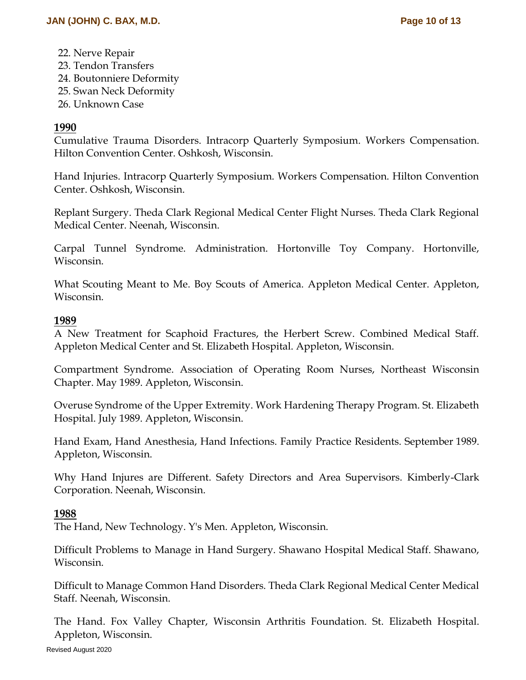- 22. Nerve Repair
- 23. Tendon Transfers
- 24. Boutonniere Deformity
- 25. Swan Neck Deformity
- 26. Unknown Case

### **1990**

Cumulative Trauma Disorders. Intracorp Quarterly Symposium. Workers Compensation. Hilton Convention Center. Oshkosh, Wisconsin.

Hand Injuries. Intracorp Quarterly Symposium. Workers Compensation. Hilton Convention Center. Oshkosh, Wisconsin.

Replant Surgery. Theda Clark Regional Medical Center Flight Nurses. Theda Clark Regional Medical Center. Neenah, Wisconsin.

Carpal Tunnel Syndrome. Administration. Hortonville Toy Company. Hortonville, Wisconsin.

What Scouting Meant to Me. Boy Scouts of America. Appleton Medical Center. Appleton, Wisconsin.

#### **1989**

A New Treatment for Scaphoid Fractures, the Herbert Screw. Combined Medical Staff. Appleton Medical Center and St. Elizabeth Hospital. Appleton, Wisconsin.

Compartment Syndrome. Association of Operating Room Nurses, Northeast Wisconsin Chapter. May 1989. Appleton, Wisconsin.

Overuse Syndrome of the Upper Extremity. Work Hardening Therapy Program. St. Elizabeth Hospital. July 1989. Appleton, Wisconsin.

Hand Exam, Hand Anesthesia, Hand Infections. Family Practice Residents. September 1989. Appleton, Wisconsin.

Why Hand Injures are Different. Safety Directors and Area Supervisors. Kimberly-Clark Corporation. Neenah, Wisconsin.

#### **1988**

The Hand, New Technology. Y's Men. Appleton, Wisconsin.

Difficult Problems to Manage in Hand Surgery. Shawano Hospital Medical Staff. Shawano, Wisconsin.

Difficult to Manage Common Hand Disorders. Theda Clark Regional Medical Center Medical Staff. Neenah, Wisconsin.

The Hand. Fox Valley Chapter, Wisconsin Arthritis Foundation. St. Elizabeth Hospital. Appleton, Wisconsin.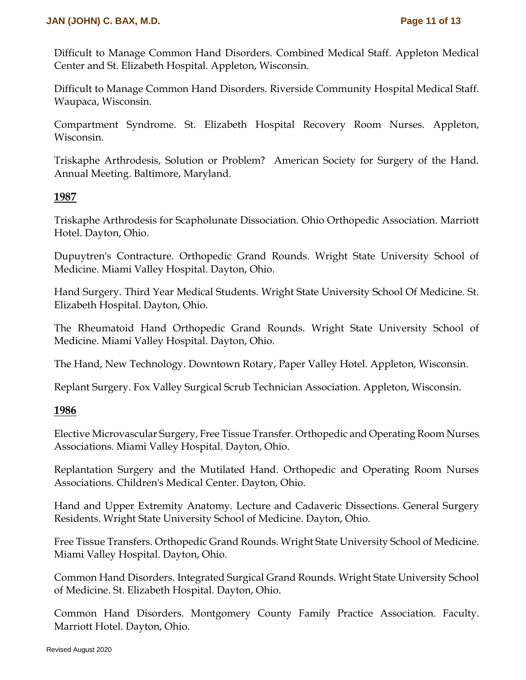Difficult to Manage Common Hand Disorders. Combined Medical Staff. Appleton Medical Center and St. Elizabeth Hospital. Appleton, Wisconsin.

Difficult to Manage Common Hand Disorders. Riverside Community Hospital Medical Staff. Waupaca, Wisconsin.

Compartment Syndrome. St. Elizabeth Hospital Recovery Room Nurses. Appleton, Wisconsin.

Triskaphe Arthrodesis, Solution or Problem? American Society for Surgery of the Hand. Annual Meeting. Baltimore, Maryland.

#### **1987**

Triskaphe Arthrodesis for Scapholunate Dissociation. Ohio Orthopedic Association. Marriott Hotel. Dayton, Ohio.

Dupuytren's Contracture. Orthopedic Grand Rounds. Wright State University School of Medicine. Miami Valley Hospital. Dayton, Ohio.

Hand Surgery. Third Year Medical Students. Wright State University School Of Medicine. St. Elizabeth Hospital. Dayton, Ohio.

The Rheumatoid Hand Orthopedic Grand Rounds. Wright State University School of Medicine. Miami Valley Hospital. Dayton, Ohio.

The Hand, New Technology. Downtown Rotary, Paper Valley Hotel. Appleton, Wisconsin.

Replant Surgery. Fox Valley Surgical Scrub Technician Association. Appleton, Wisconsin.

#### **1986**

Elective Microvascular Surgery, Free Tissue Transfer. Orthopedic and Operating Room Nurses Associations. Miami Valley Hospital. Dayton, Ohio.

Replantation Surgery and the Mutilated Hand. Orthopedic and Operating Room Nurses Associations. Children's Medical Center. Dayton, Ohio.

Hand and Upper Extremity Anatomy. Lecture and Cadaveric Dissections. General Surgery Residents. Wright State University School of Medicine. Dayton, Ohio.

Free Tissue Transfers. Orthopedic Grand Rounds. Wright State University School of Medicine. Miami Valley Hospital. Dayton, Ohio.

Common Hand Disorders. Integrated Surgical Grand Rounds. Wright State University School of Medicine. St. Elizabeth Hospital. Dayton, Ohio.

Common Hand Disorders. Montgomery County Family Practice Association. Faculty. Marriott Hotel. Dayton, Ohio.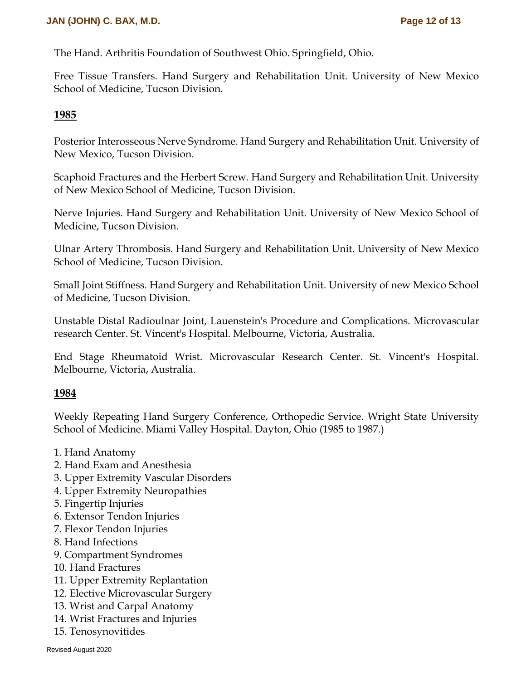The Hand. Arthritis Foundation of Southwest Ohio. Springfield, Ohio.

Free Tissue Transfers. Hand Surgery and Rehabilitation Unit. University of New Mexico School of Medicine, Tucson Division.

#### **1985**

Posterior Interosseous Nerve Syndrome. Hand Surgery and Rehabilitation Unit. University of New Mexico, Tucson Division.

Scaphoid Fractures and the Herbert Screw. Hand Surgery and Rehabilitation Unit. University of New Mexico School of Medicine, Tucson Division.

Nerve Injuries. Hand Surgery and Rehabilitation Unit. University of New Mexico School of Medicine, Tucson Division.

Ulnar Artery Thrombosis. Hand Surgery and Rehabilitation Unit. University of New Mexico School of Medicine, Tucson Division.

Small Joint Stiffness. Hand Surgery and Rehabilitation Unit. University of new Mexico School of Medicine, Tucson Division.

Unstable Distal Radioulnar Joint, Lauenstein's Procedure and Complications. Microvascular research Center. St. Vincent's Hospital. Melbourne, Victoria, Australia.

End Stage Rheumatoid Wrist. Microvascular Research Center. St. Vincent's Hospital. Melbourne, Victoria, Australia.

#### **1984**

Weekly Repeating Hand Surgery Conference, Orthopedic Service. Wright State University School of Medicine. Miami Valley Hospital. Dayton, Ohio (1985 to 1987.)

- 1. Hand Anatomy
- 2. Hand Exam and Anesthesia
- 3. Upper Extremity Vascular Disorders
- 4. Upper Extremity Neuropathies
- 5. Fingertip Injuries
- 6. Extensor Tendon Injuries
- 7. Flexor Tendon Injuries
- 8. Hand Infections
- 9. Compartment Syndromes
- 10. Hand Fractures
- 11. Upper Extremity Replantation
- 12. Elective Microvascular Surgery
- 13. Wrist and Carpal Anatomy
- 14. Wrist Fractures and Injuries
- 15. Tenosynovitides